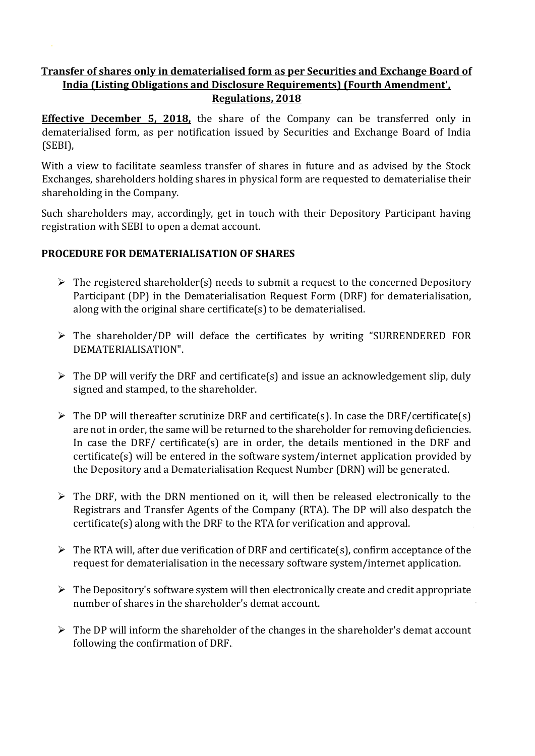## **Transfer of shares only in dematerialised form as per Securities and Exchange Board of India (Listing Obligations and Disclosure Requirements) (Fourth Amendment', Regulations, 2018**

**Effective December 5, 2018**, the share of the Company can be transferred only in dematerialised form, as per notification issued by Securities and Exchange Board of India (SEBI),

With a view to facilitate seamless transfer of shares in future and as advised by the Stock Exchanges, shareholders holding shares in physical form are requested to dematerialise their shareholding in the Company.

Such shareholders may, accordingly, get in touch with their Depository Participant having registration with SEBI to open a demat account.

## **PROCEDURE FOR DEMATERIALISATION OF SHARES**

- $\triangleright$  The registered shareholder(s) needs to submit a request to the concerned Depository Participant (DP) in the Dematerialisation Request Form (DRF) for dematerialisation, along with the original share certificate(s) to be dematerialised.
- $\triangleright$  The shareholder/DP will deface the certificates by writing "SURRENDERED FOR DEMATERIALISATION".
- $\triangleright$  The DP will verify the DRF and certificate(s) and issue an acknowledgement slip, duly signed and stamped, to the shareholder.
- $\triangleright$  The DP will thereafter scrutinize DRF and certificate(s). In case the DRF/certificate(s) are not in order, the same will be returned to the shareholder for removing deficiencies. In case the DRF/ certificate(s) are in order, the details mentioned in the DRF and certificate(s) will be entered in the software system/internet application provided by the Depository and a Dematerialisation Request Number (DRN) will be generated.
- $\triangleright$  The DRF, with the DRN mentioned on it, will then be released electronically to the Registrars and Transfer Agents of the Company (RTA). The DP will also despatch the certificate(s) along with the DRF to the RTA for verification and approval.
- $\triangleright$  The RTA will, after due verification of DRF and certificate(s), confirm acceptance of the request for dematerialisation in the necessary software system/internet application.
- $\triangleright$  The Depository's software system will then electronically create and credit appropriate number of shares in the shareholder's demat account.
- $\triangleright$  The DP will inform the shareholder of the changes in the shareholder's demat account following the confirmation of DRF.